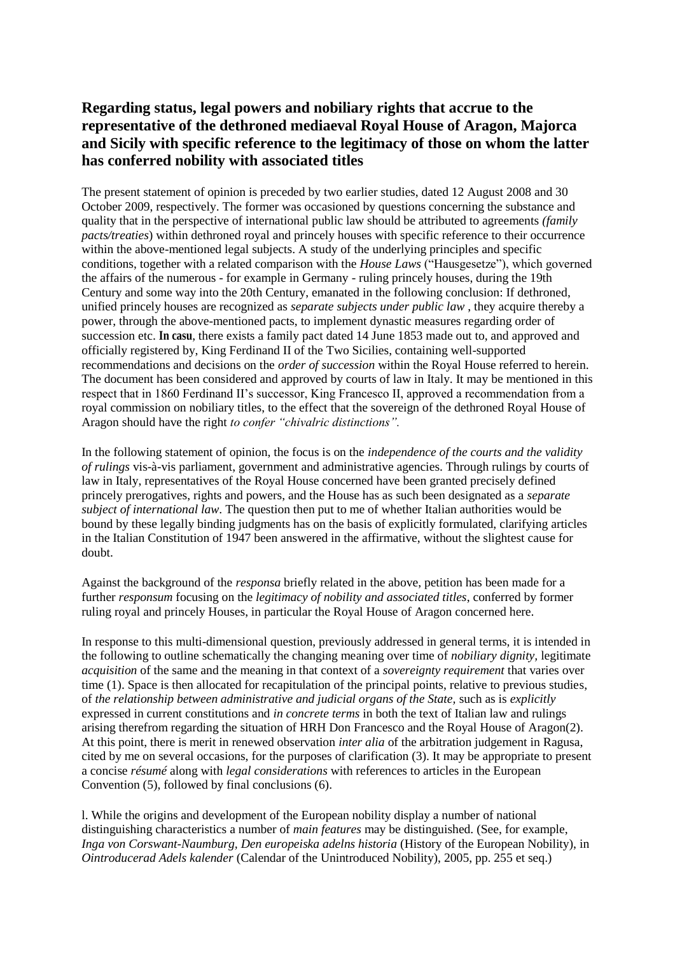## **Regarding status, legal powers and nobiliary rights that accrue to the representative of the dethroned mediaeval Royal House of Aragon, Majorca and Sicily with specific reference to the legitimacy of those on whom the latter has conferred nobility with associated titles**

The present statement of opinion is preceded by two earlier studies, dated 12 August 2008 and 30 October 2009, respectively. The former was occasioned by questions concerning the substance and quality that in the perspective of international public law should be attributed to agreements *(family pacts/treaties*) within dethroned royal and princely houses with specific reference to their occurrence within the above-mentioned legal subjects. A study of the underlying principles and specific conditions, together with a related comparison with the *House Laws* ("Hausgesetze"), which governed the affairs of the numerous - for example in Germany - ruling princely houses, during the 19th Century and some way into the 20th Century, emanated in the following conclusion: If dethroned, unified princely houses are recognized as *separate subjects under public law* , they acquire thereby a power, through the above-mentioned pacts, to implement dynastic measures regarding order of succession etc. **In casu**, there exists a family pact dated 14 June 1853 made out to, and approved and officially registered by, King Ferdinand II of the Two Sicilies, containing well-supported recommendations and decisions on the *order of succession* within the Royal House referred to herein. The document has been considered and approved by courts of law in Italy. It may be mentioned in this respect that in 1860 Ferdinand II's successor, King Francesco II, approved a recommendation from a royal commission on nobiliary titles, to the effect that the sovereign of the dethroned Royal House of Aragon should have the right *to confer "chivalric distinctions".*

In the following statement of opinion, the focus is on the *independence of the courts and the validity of rulings* vis-à-vis parliament, government and administrative agencies. Through rulings by courts of law in Italy, representatives of the Royal House concerned have been granted precisely defined princely prerogatives, rights and powers, and the House has as such been designated as a *separate subject of international law*. The question then put to me of whether Italian authorities would be bound by these legally binding judgments has on the basis of explicitly formulated, clarifying articles in the Italian Constitution of 1947 been answered in the affirmative, without the slightest cause for doubt.

Against the background of the *responsa* briefly related in the above, petition has been made for a further *responsum* focusing on the *legitimacy of nobility and associated titles*, conferred by former ruling royal and princely Houses, in particular the Royal House of Aragon concerned here.

In response to this multi-dimensional question, previously addressed in general terms, it is intended in the following to outline schematically the changing meaning over time of *nobiliary dignity,* legitimate *acquisition* of the same and the meaning in that context of a *sovereignty requirement* that varies over time (1). Space is then allocated for recapitulation of the principal points, relative to previous studies, of *the relationship between administrative and judicial organs of the State,* such as is *explicitly* expressed in current constitutions and *in concrete terms* in both the text of Italian law and rulings arising therefrom regarding the situation of HRH Don Francesco and the Royal House of Aragon(2). At this point, there is merit in renewed observation *inter alia* of the arbitration judgement in Ragusa, cited by me on several occasions, for the purposes of clarification (3). It may be appropriate to present a concise *résumé* along with *legal considerations* with references to articles in the European Convention (5), followed by final conclusions (6).

l. While the origins and development of the European nobility display a number of national distinguishing characteristics a number of *main features* may be distinguished. (See, for example, *Inga von Corswant-Naumburg, Den europeiska adelns historia* (History of the European Nobility), in *Ointroducerad Adels kalender* (Calendar of the Unintroduced Nobility), 2005, pp. 255 et seq.)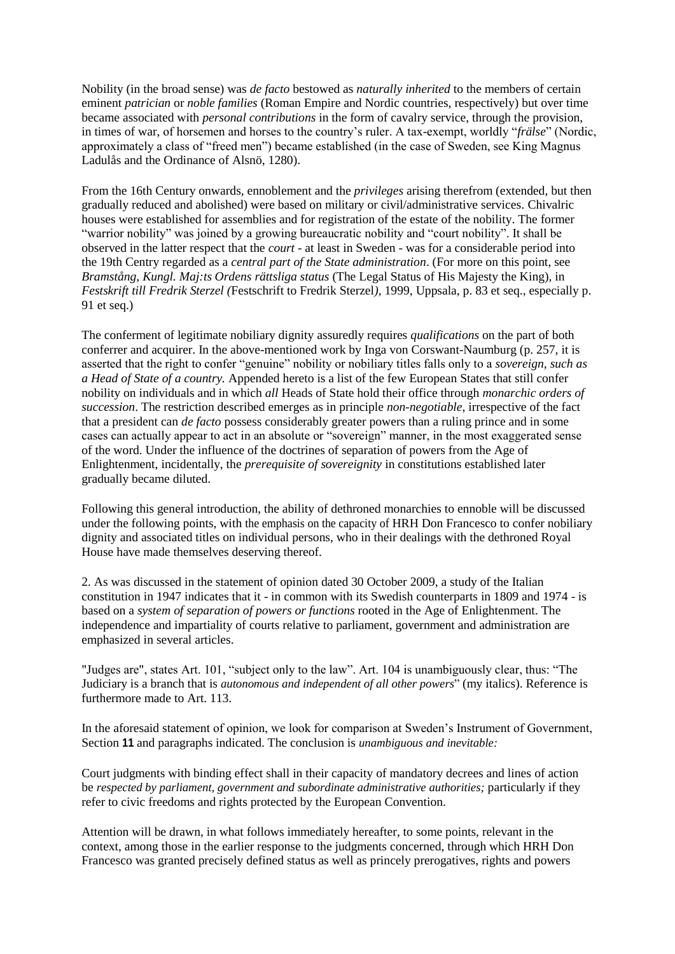Nobility (in the broad sense) was *de facto* bestowed as *naturally inherited* to the members of certain eminent *patrician* or *noble families* (Roman Empire and Nordic countries, respectively) but over time became associated with *personal contributions* in the form of cavalry service, through the provision, in times of war, of horsemen and horses to the country's ruler. A tax-exempt, worldly "*frälse*" (Nordic, approximately a class of "freed men") became established (in the case of Sweden, see King Magnus Ladulås and the Ordinance of Alsnö, 1280).

From the 16th Century onwards, ennoblement and the *privileges* arising therefrom (extended, but then gradually reduced and abolished) were based on military or civil/administrative services. Chivalric houses were established for assemblies and for registration of the estate of the nobility. The former "warrior nobility" was joined by a growing bureaucratic nobility and "court nobility". It shall be observed in the latter respect that the *court* - at least in Sweden - was for a considerable period into the 19th Centry regarded as a *central part of the State administration*. (For more on this point, see *Bramstång*, *Kungl. Maj:ts Ordens rättsliga status* (The Legal Status of His Majesty the King), in *Festskrift till Fredrik Sterzel (*Festschrift to Fredrik Sterzel*)*, 1999, Uppsala, p. 83 et seq., especially p. 91 et seq.)

The conferment of legitimate nobiliary dignity assuredly requires *qualifications* on the part of both conferrer and acquirer. In the above-mentioned work by Inga von Corswant-Naumburg (p. 257, it is asserted that the right to confer "genuine" nobility or nobiliary titles falls only to a *sovereign, such as a Head of State of a country.* Appended hereto is a list of the few European States that still confer nobility on individuals and in which *all* Heads of State hold their office through *monarchic orders of succession*. The restriction described emerges as in principle *non-negotiable*, irrespective of the fact that a president can *de facto* possess considerably greater powers than a ruling prince and in some cases can actually appear to act in an absolute or "sovereign" manner, in the most exaggerated sense of the word. Under the influence of the doctrines of separation of powers from the Age of Enlightenment, incidentally, the *prerequisite of sovereignity* in constitutions established later gradually became diluted.

Following this general introduction, the ability of dethroned monarchies to ennoble will be discussed under the following points, with the emphasis on the capacity of HRH Don Francesco to confer nobiliary dignity and associated titles on individual persons, who in their dealings with the dethroned Royal House have made themselves deserving thereof.

2. As was discussed in the statement of opinion dated 30 October 2009, a study of the Italian constitution in 1947 indicates that it - in common with its Swedish counterparts in 1809 and 1974 - is based on a *system of separation of powers or functions* rooted in the Age of Enlightenment. The independence and impartiality of courts relative to parliament, government and administration are emphasized in several articles.

"Judges are", states Art. 101, "subject only to the law". Art. 104 is unambiguously clear, thus: "The Judiciary is a branch that is *autonomous and independent of all other powers*" (my italics). Reference is furthermore made to Art. 113.

In the aforesaid statement of opinion, we look for comparison at Sweden's Instrument of Government, Section **11** and paragraphs indicated. The conclusion is *unambiguous and inevitable:* 

Court judgments with binding effect shall in their capacity of mandatory decrees and lines of action be *respected by parliament, government and subordinate administrative authorities;* particularly if they refer to civic freedoms and rights protected by the European Convention.

Attention will be drawn, in what follows immediately hereafter, to some points, relevant in the context, among those in the earlier response to the judgments concerned, through which HRH Don Francesco was granted precisely defined status as well as princely prerogatives, rights and powers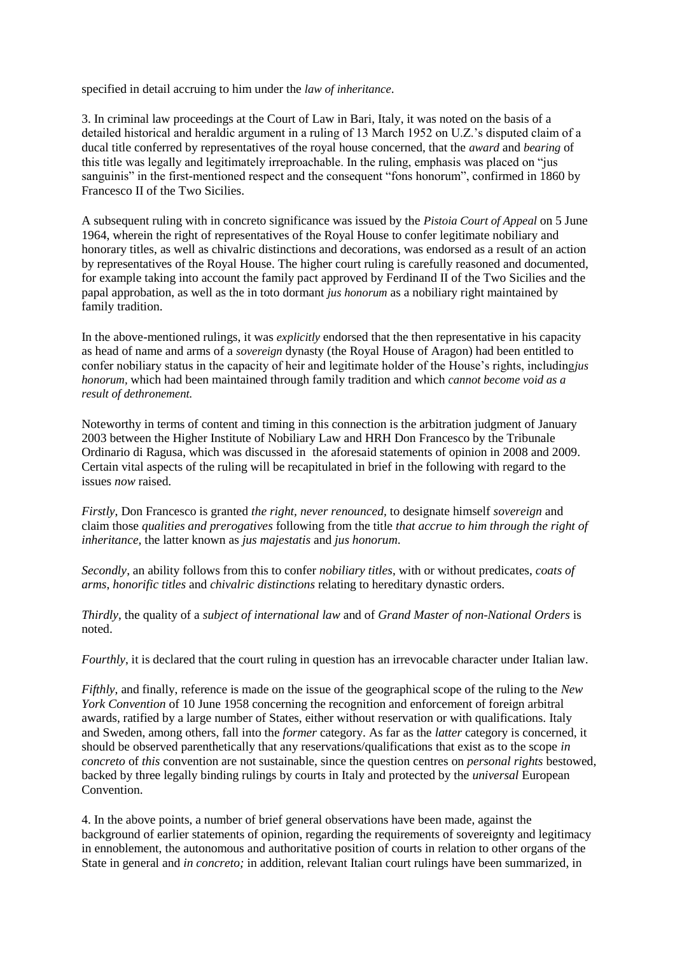specified in detail accruing to him under the *law of inheritance*.

3. In criminal law proceedings at the Court of Law in Bari, Italy, it was noted on the basis of a detailed historical and heraldic argument in a ruling of 13 March 1952 on U.Z.'s disputed claim of a ducal title conferred by representatives of the royal house concerned, that the *award* and *bearing* of this title was legally and legitimately irreproachable. In the ruling, emphasis was placed on "jus sanguinis" in the first-mentioned respect and the consequent "fons honorum", confirmed in 1860 by Francesco II of the Two Sicilies.

A subsequent ruling with in concreto significance was issued by the *Pistoia Court of Appeal* on 5 June 1964, wherein the right of representatives of the Royal House to confer legitimate nobiliary and honorary titles, as well as chivalric distinctions and decorations, was endorsed as a result of an action by representatives of the Royal House. The higher court ruling is carefully reasoned and documented, for example taking into account the family pact approved by Ferdinand II of the Two Sicilies and the papal approbation, as well as the in toto dormant *jus honorum* as a nobiliary right maintained by family tradition.

In the above-mentioned rulings, it was *explicitly* endorsed that the then representative in his capacity as head of name and arms of a *sovereign* dynasty (the Royal House of Aragon) had been entitled to confer nobiliary status in the capacity of heir and legitimate holder of the House's rights, including*jus honorum,* which had been maintained through family tradition and which *cannot become void as a result of dethronement.* 

Noteworthy in terms of content and timing in this connection is the arbitration judgment of January 2003 between the Higher Institute of Nobiliary Law and HRH Don Francesco by the Tribunale Ordinario di Ragusa, which was discussed in the aforesaid statements of opinion in 2008 and 2009. Certain vital aspects of the ruling will be recapitulated in brief in the following with regard to the issues *now* raised.

*Firstly*, Don Francesco is granted *the right, never renounced,* to designate himself *sovereign* and claim those *qualities and prerogatives* following from the title *that accrue to him through the right of inheritance,* the latter known as *jus majestatis* and *jus honorum*.

*Secondly*, an ability follows from this to confer *nobiliary titles*, with or without predicates, *coats of arms*, *honorific titles* and *chivalric distinctions* relating to hereditary dynastic orders.

*Thirdly*, the quality of a *subject of international law* and of *Grand Master of non-National Orders* is noted.

*Fourthly*, it is declared that the court ruling in question has an irrevocable character under Italian law.

*Fifthly*, and finally, reference is made on the issue of the geographical scope of the ruling to the *New York Convention* of 10 June 1958 concerning the recognition and enforcement of foreign arbitral awards, ratified by a large number of States, either without reservation or with qualifications. Italy and Sweden, among others, fall into the *former* category. As far as the *latter* category is concerned, it should be observed parenthetically that any reservations/qualifications that exist as to the scope *in concreto* of *this* convention are not sustainable, since the question centres on *personal rights* bestowed, backed by three legally binding rulings by courts in Italy and protected by the *universal* European Convention.

4. In the above points, a number of brief general observations have been made, against the background of earlier statements of opinion, regarding the requirements of sovereignty and legitimacy in ennoblement, the autonomous and authoritative position of courts in relation to other organs of the State in general and *in concreto;* in addition, relevant Italian court rulings have been summarized, in